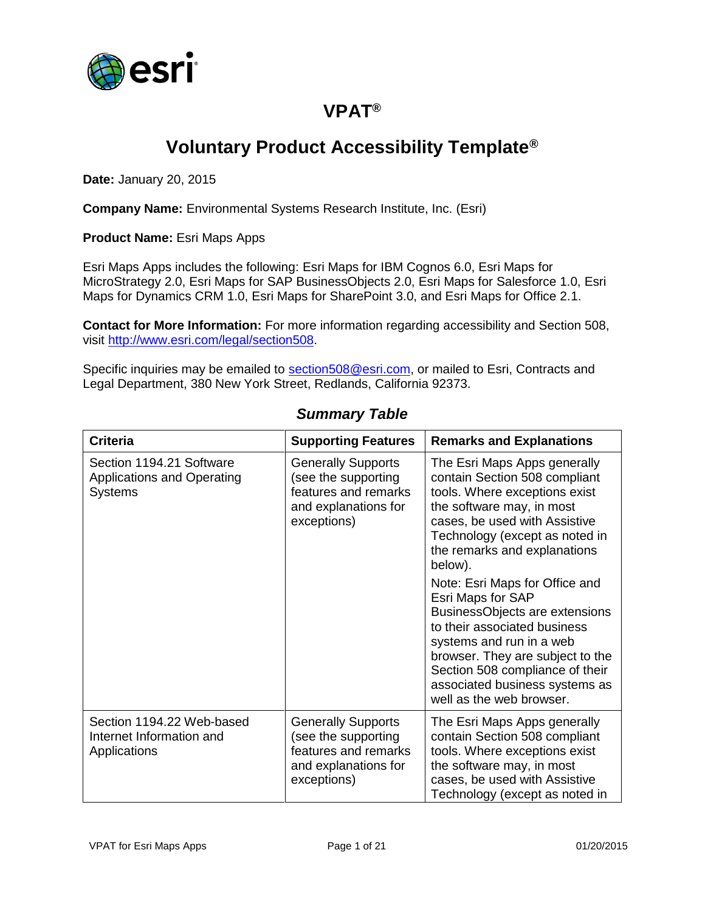

### **VPAT®**

# **Voluntary Product Accessibility Template®**

**Date:** January 20, 2015

**Company Name:** Environmental Systems Research Institute, Inc. (Esri)

**Product Name:** Esri Maps Apps

Esri Maps Apps includes the following: Esri Maps for IBM Cognos 6.0, Esri Maps for MicroStrategy 2.0, Esri Maps for SAP BusinessObjects 2.0, Esri Maps for Salesforce 1.0, Esri Maps for Dynamics CRM 1.0, Esri Maps for SharePoint 3.0, and Esri Maps for Office 2.1.

**Contact for More Information:** For more information regarding accessibility and Section 508, visit [http://www.esri.com/legal/section508.](http://www.esri.com/legal/section508)

Specific inquiries may be emailed to [section508@esri.com,](mailto:section508@esri.com) or mailed to Esri, Contracts and Legal Department, 380 New York Street, Redlands, California 92373.

| <b>Criteria</b>                                                                 | <b>Supporting Features</b>                                                                                      | <b>Remarks and Explanations</b>                                                                                                                                                                                                                                                                                                                                                                                                                                                                                                     |
|---------------------------------------------------------------------------------|-----------------------------------------------------------------------------------------------------------------|-------------------------------------------------------------------------------------------------------------------------------------------------------------------------------------------------------------------------------------------------------------------------------------------------------------------------------------------------------------------------------------------------------------------------------------------------------------------------------------------------------------------------------------|
| Section 1194.21 Software<br><b>Applications and Operating</b><br><b>Systems</b> | <b>Generally Supports</b><br>(see the supporting<br>features and remarks<br>and explanations for<br>exceptions) | The Esri Maps Apps generally<br>contain Section 508 compliant<br>tools. Where exceptions exist<br>the software may, in most<br>cases, be used with Assistive<br>Technology (except as noted in<br>the remarks and explanations<br>below).<br>Note: Esri Maps for Office and<br>Esri Maps for SAP<br>BusinessObjects are extensions<br>to their associated business<br>systems and run in a web<br>browser. They are subject to the<br>Section 508 compliance of their<br>associated business systems as<br>well as the web browser. |
| Section 1194.22 Web-based<br>Internet Information and<br>Applications           | <b>Generally Supports</b><br>(see the supporting<br>features and remarks<br>and explanations for<br>exceptions) | The Esri Maps Apps generally<br>contain Section 508 compliant<br>tools. Where exceptions exist<br>the software may, in most<br>cases, be used with Assistive<br>Technology (except as noted in                                                                                                                                                                                                                                                                                                                                      |

#### *Summary Table*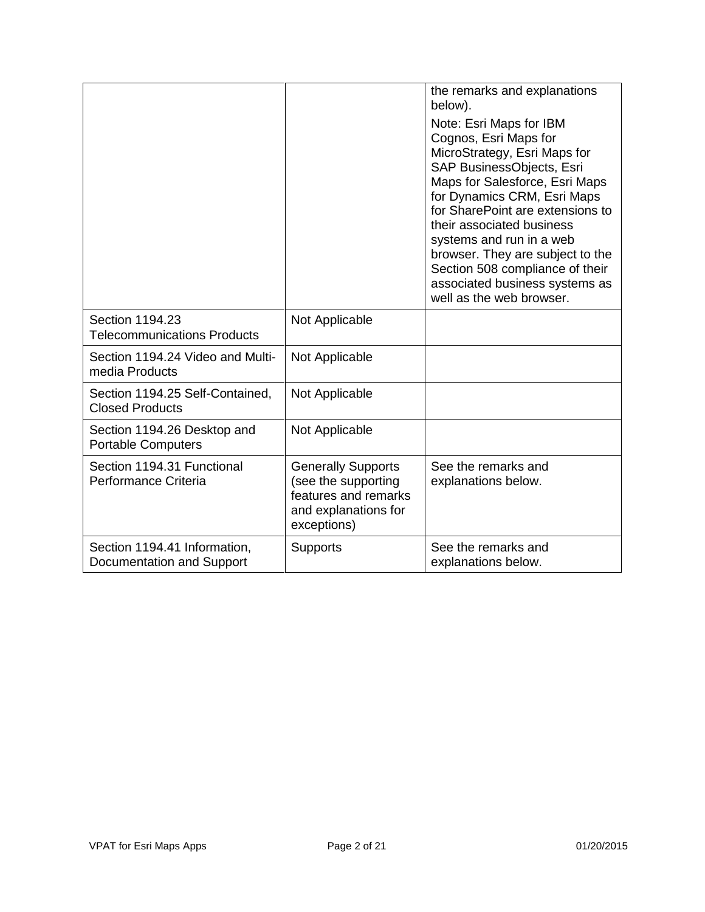|                                                           |                                                                                                                 | the remarks and explanations<br>below).<br>Note: Esri Maps for IBM<br>Cognos, Esri Maps for<br>MicroStrategy, Esri Maps for<br>SAP BusinessObjects, Esri<br>Maps for Salesforce, Esri Maps<br>for Dynamics CRM, Esri Maps<br>for SharePoint are extensions to<br>their associated business<br>systems and run in a web<br>browser. They are subject to the<br>Section 508 compliance of their<br>associated business systems as<br>well as the web browser. |
|-----------------------------------------------------------|-----------------------------------------------------------------------------------------------------------------|-------------------------------------------------------------------------------------------------------------------------------------------------------------------------------------------------------------------------------------------------------------------------------------------------------------------------------------------------------------------------------------------------------------------------------------------------------------|
| Section 1194.23<br><b>Telecommunications Products</b>     | Not Applicable                                                                                                  |                                                                                                                                                                                                                                                                                                                                                                                                                                                             |
| Section 1194.24 Video and Multi-<br>media Products        | Not Applicable                                                                                                  |                                                                                                                                                                                                                                                                                                                                                                                                                                                             |
| Section 1194.25 Self-Contained,<br><b>Closed Products</b> | Not Applicable                                                                                                  |                                                                                                                                                                                                                                                                                                                                                                                                                                                             |
| Section 1194.26 Desktop and<br><b>Portable Computers</b>  | Not Applicable                                                                                                  |                                                                                                                                                                                                                                                                                                                                                                                                                                                             |
| Section 1194.31 Functional<br>Performance Criteria        | <b>Generally Supports</b><br>(see the supporting<br>features and remarks<br>and explanations for<br>exceptions) | See the remarks and<br>explanations below.                                                                                                                                                                                                                                                                                                                                                                                                                  |
| Section 1194.41 Information,<br>Documentation and Support | <b>Supports</b>                                                                                                 | See the remarks and<br>explanations below.                                                                                                                                                                                                                                                                                                                                                                                                                  |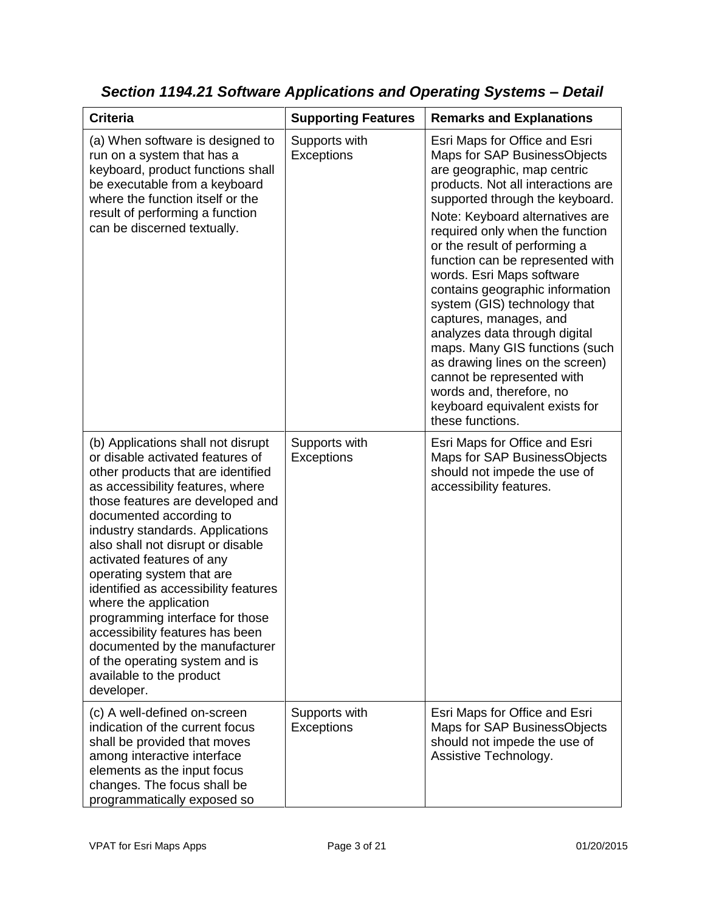| <b>Criteria</b>                                                                                                                                                                                                                                                                                                                                                                                                                                                                                                                                                                                         | <b>Supporting Features</b>  | <b>Remarks and Explanations</b>                                                                                                                                                                                                                                                                                                                                                                                                                                                                                                                                                                                                                                  |
|---------------------------------------------------------------------------------------------------------------------------------------------------------------------------------------------------------------------------------------------------------------------------------------------------------------------------------------------------------------------------------------------------------------------------------------------------------------------------------------------------------------------------------------------------------------------------------------------------------|-----------------------------|------------------------------------------------------------------------------------------------------------------------------------------------------------------------------------------------------------------------------------------------------------------------------------------------------------------------------------------------------------------------------------------------------------------------------------------------------------------------------------------------------------------------------------------------------------------------------------------------------------------------------------------------------------------|
| (a) When software is designed to<br>run on a system that has a<br>keyboard, product functions shall<br>be executable from a keyboard<br>where the function itself or the<br>result of performing a function<br>can be discerned textually.                                                                                                                                                                                                                                                                                                                                                              | Supports with<br>Exceptions | Esri Maps for Office and Esri<br>Maps for SAP BusinessObjects<br>are geographic, map centric<br>products. Not all interactions are<br>supported through the keyboard.<br>Note: Keyboard alternatives are<br>required only when the function<br>or the result of performing a<br>function can be represented with<br>words. Esri Maps software<br>contains geographic information<br>system (GIS) technology that<br>captures, manages, and<br>analyzes data through digital<br>maps. Many GIS functions (such<br>as drawing lines on the screen)<br>cannot be represented with<br>words and, therefore, no<br>keyboard equivalent exists for<br>these functions. |
| (b) Applications shall not disrupt<br>or disable activated features of<br>other products that are identified<br>as accessibility features, where<br>those features are developed and<br>documented according to<br>industry standards. Applications<br>also shall not disrupt or disable<br>activated features of any<br>operating system that are<br>identified as accessibility features<br>where the application<br>programming interface for those<br>accessibility features has been<br>documented by the manufacturer<br>of the operating system and is<br>available to the product<br>developer. | Supports with<br>Exceptions | Esri Maps for Office and Esri<br>Maps for SAP BusinessObjects<br>should not impede the use of<br>accessibility features.                                                                                                                                                                                                                                                                                                                                                                                                                                                                                                                                         |
| (c) A well-defined on-screen<br>indication of the current focus<br>shall be provided that moves<br>among interactive interface<br>elements as the input focus<br>changes. The focus shall be<br>programmatically exposed so                                                                                                                                                                                                                                                                                                                                                                             | Supports with<br>Exceptions | Esri Maps for Office and Esri<br>Maps for SAP BusinessObjects<br>should not impede the use of<br>Assistive Technology.                                                                                                                                                                                                                                                                                                                                                                                                                                                                                                                                           |

*Section 1194.21 Software Applications and Operating Systems – Detail*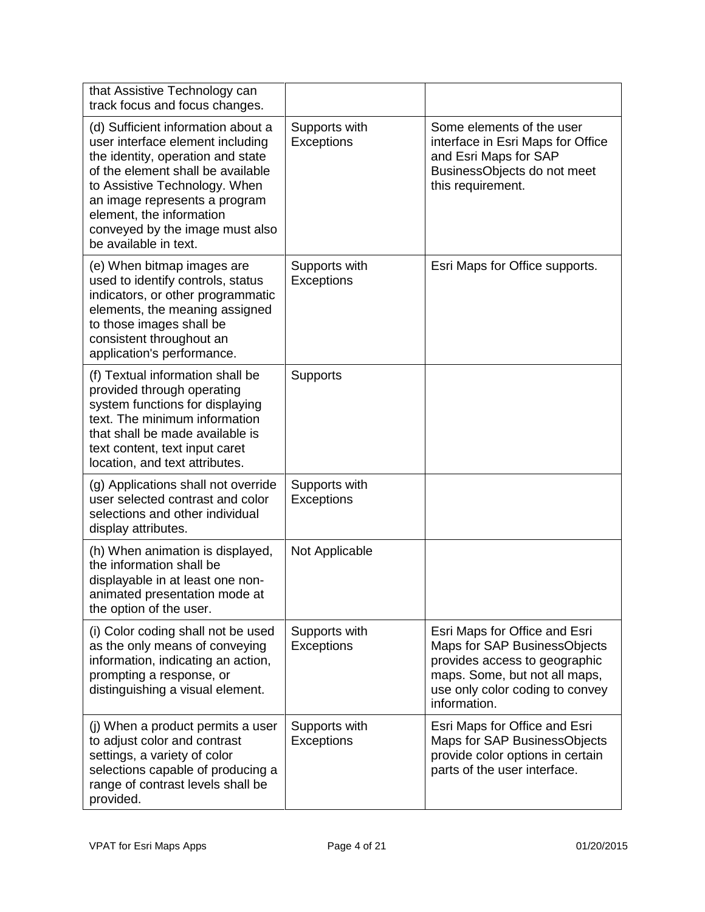| that Assistive Technology can<br>track focus and focus changes.                                                                                                                                                                                                                                            |                             |                                                                                                                                                                                    |
|------------------------------------------------------------------------------------------------------------------------------------------------------------------------------------------------------------------------------------------------------------------------------------------------------------|-----------------------------|------------------------------------------------------------------------------------------------------------------------------------------------------------------------------------|
| (d) Sufficient information about a<br>user interface element including<br>the identity, operation and state<br>of the element shall be available<br>to Assistive Technology. When<br>an image represents a program<br>element, the information<br>conveyed by the image must also<br>be available in text. | Supports with<br>Exceptions | Some elements of the user<br>interface in Esri Maps for Office<br>and Esri Maps for SAP<br>BusinessObjects do not meet<br>this requirement.                                        |
| (e) When bitmap images are<br>used to identify controls, status<br>indicators, or other programmatic<br>elements, the meaning assigned<br>to those images shall be<br>consistent throughout an<br>application's performance.                                                                               | Supports with<br>Exceptions | Esri Maps for Office supports.                                                                                                                                                     |
| (f) Textual information shall be<br>provided through operating<br>system functions for displaying<br>text. The minimum information<br>that shall be made available is<br>text content, text input caret<br>location, and text attributes.                                                                  | Supports                    |                                                                                                                                                                                    |
| (g) Applications shall not override<br>user selected contrast and color<br>selections and other individual<br>display attributes.                                                                                                                                                                          | Supports with<br>Exceptions |                                                                                                                                                                                    |
| (h) When animation is displayed,<br>the information shall be<br>displayable in at least one non-<br>animated presentation mode at<br>the option of the user.                                                                                                                                               | Not Applicable              |                                                                                                                                                                                    |
| (i) Color coding shall not be used<br>as the only means of conveying<br>information, indicating an action,<br>prompting a response, or<br>distinguishing a visual element.                                                                                                                                 | Supports with<br>Exceptions | Esri Maps for Office and Esri<br>Maps for SAP BusinessObjects<br>provides access to geographic<br>maps. Some, but not all maps,<br>use only color coding to convey<br>information. |
| (j) When a product permits a user<br>to adjust color and contrast<br>settings, a variety of color<br>selections capable of producing a<br>range of contrast levels shall be<br>provided.                                                                                                                   | Supports with<br>Exceptions | Esri Maps for Office and Esri<br>Maps for SAP BusinessObjects<br>provide color options in certain<br>parts of the user interface.                                                  |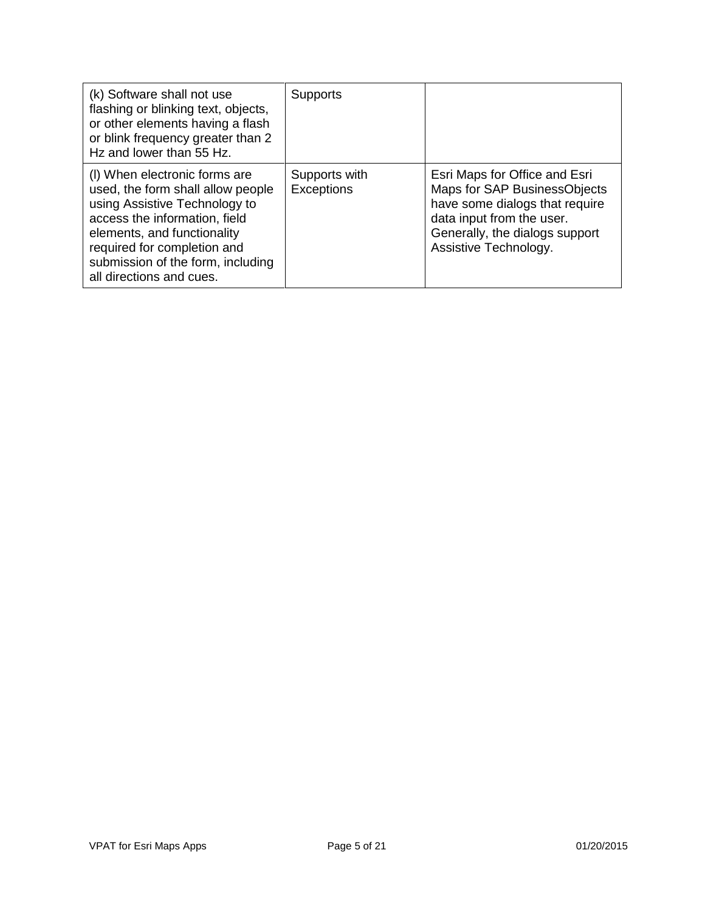| (k) Software shall not use<br>flashing or blinking text, objects,<br>or other elements having a flash<br>or blink frequency greater than 2<br>Hz and lower than 55 Hz.                                                                                              | <b>Supports</b>                    |                                                                                                                                                                                         |
|---------------------------------------------------------------------------------------------------------------------------------------------------------------------------------------------------------------------------------------------------------------------|------------------------------------|-----------------------------------------------------------------------------------------------------------------------------------------------------------------------------------------|
| (I) When electronic forms are<br>used, the form shall allow people<br>using Assistive Technology to<br>access the information, field<br>elements, and functionality<br>required for completion and<br>submission of the form, including<br>all directions and cues. | Supports with<br><b>Exceptions</b> | Esri Maps for Office and Esri<br>Maps for SAP BusinessObjects<br>have some dialogs that require<br>data input from the user.<br>Generally, the dialogs support<br>Assistive Technology. |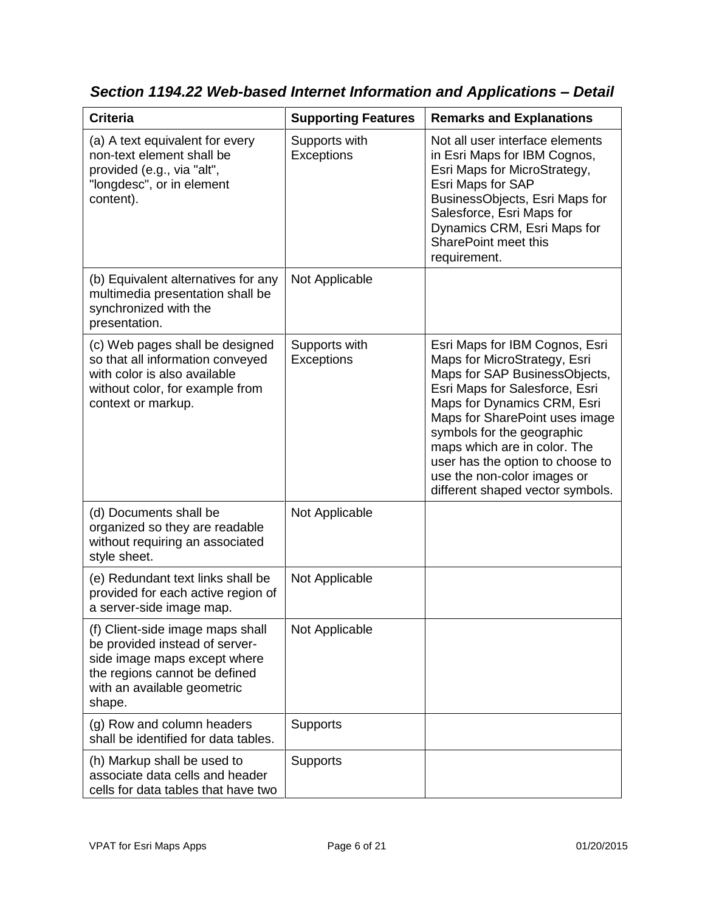| <b>Criteria</b>                                                                                                                                                              | <b>Supporting Features</b>  | <b>Remarks and Explanations</b>                                                                                                                                                                                                                                                                                                                                         |
|------------------------------------------------------------------------------------------------------------------------------------------------------------------------------|-----------------------------|-------------------------------------------------------------------------------------------------------------------------------------------------------------------------------------------------------------------------------------------------------------------------------------------------------------------------------------------------------------------------|
| (a) A text equivalent for every<br>non-text element shall be<br>provided (e.g., via "alt",<br>"longdesc", or in element<br>content).                                         | Supports with<br>Exceptions | Not all user interface elements<br>in Esri Maps for IBM Cognos,<br>Esri Maps for MicroStrategy,<br>Esri Maps for SAP<br>BusinessObjects, Esri Maps for<br>Salesforce, Esri Maps for<br>Dynamics CRM, Esri Maps for<br><b>SharePoint meet this</b><br>requirement.                                                                                                       |
| (b) Equivalent alternatives for any<br>multimedia presentation shall be<br>synchronized with the<br>presentation.                                                            | Not Applicable              |                                                                                                                                                                                                                                                                                                                                                                         |
| (c) Web pages shall be designed<br>so that all information conveyed<br>with color is also available<br>without color, for example from<br>context or markup.                 | Supports with<br>Exceptions | Esri Maps for IBM Cognos, Esri<br>Maps for MicroStrategy, Esri<br>Maps for SAP BusinessObjects,<br>Esri Maps for Salesforce, Esri<br>Maps for Dynamics CRM, Esri<br>Maps for SharePoint uses image<br>symbols for the geographic<br>maps which are in color. The<br>user has the option to choose to<br>use the non-color images or<br>different shaped vector symbols. |
| (d) Documents shall be<br>organized so they are readable<br>without requiring an associated<br>style sheet.                                                                  | Not Applicable              |                                                                                                                                                                                                                                                                                                                                                                         |
| (e) Redundant text links shall be<br>provided for each active region of<br>a server-side image map.                                                                          | Not Applicable              |                                                                                                                                                                                                                                                                                                                                                                         |
| (f) Client-side image maps shall<br>be provided instead of server-<br>side image maps except where<br>the regions cannot be defined<br>with an available geometric<br>shape. | Not Applicable              |                                                                                                                                                                                                                                                                                                                                                                         |
| (g) Row and column headers<br>shall be identified for data tables.                                                                                                           | Supports                    |                                                                                                                                                                                                                                                                                                                                                                         |
| (h) Markup shall be used to<br>associate data cells and header<br>cells for data tables that have two                                                                        | <b>Supports</b>             |                                                                                                                                                                                                                                                                                                                                                                         |

*Section 1194.22 Web-based Internet Information and Applications – Detail*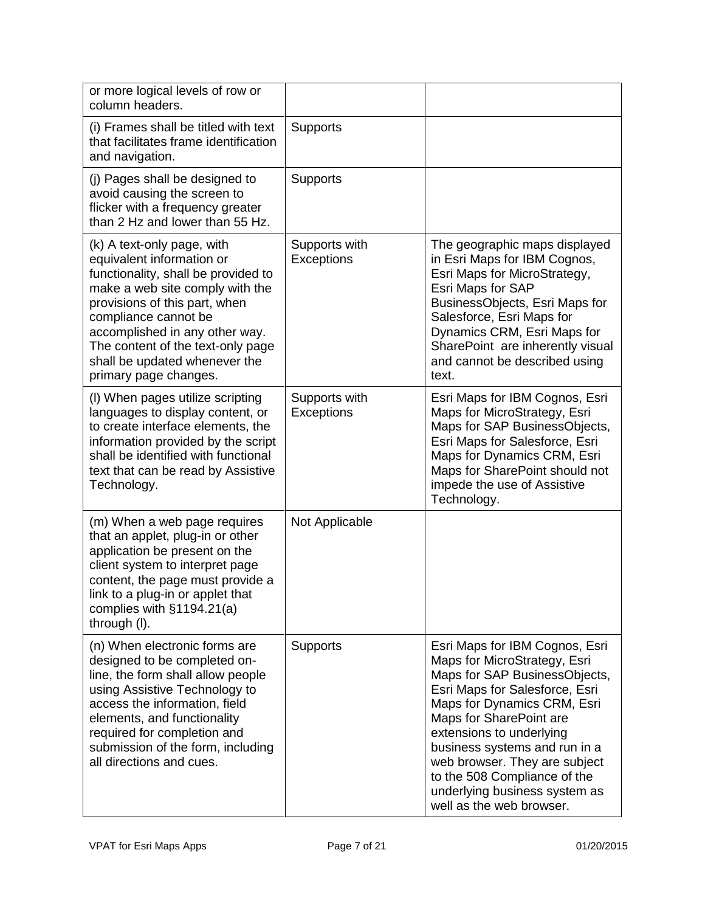| or more logical levels of row or<br>column headers.                                                                                                                                                                                                                                                                         |                             |                                                                                                                                                                                                                                                                                                                                                                                        |
|-----------------------------------------------------------------------------------------------------------------------------------------------------------------------------------------------------------------------------------------------------------------------------------------------------------------------------|-----------------------------|----------------------------------------------------------------------------------------------------------------------------------------------------------------------------------------------------------------------------------------------------------------------------------------------------------------------------------------------------------------------------------------|
| (i) Frames shall be titled with text<br>that facilitates frame identification<br>and navigation.                                                                                                                                                                                                                            | Supports                    |                                                                                                                                                                                                                                                                                                                                                                                        |
| (j) Pages shall be designed to<br>avoid causing the screen to<br>flicker with a frequency greater<br>than 2 Hz and lower than 55 Hz.                                                                                                                                                                                        | <b>Supports</b>             |                                                                                                                                                                                                                                                                                                                                                                                        |
| (k) A text-only page, with<br>equivalent information or<br>functionality, shall be provided to<br>make a web site comply with the<br>provisions of this part, when<br>compliance cannot be<br>accomplished in any other way.<br>The content of the text-only page<br>shall be updated whenever the<br>primary page changes. | Supports with<br>Exceptions | The geographic maps displayed<br>in Esri Maps for IBM Cognos,<br>Esri Maps for MicroStrategy,<br>Esri Maps for SAP<br>BusinessObjects, Esri Maps for<br>Salesforce, Esri Maps for<br>Dynamics CRM, Esri Maps for<br>SharePoint are inherently visual<br>and cannot be described using<br>text.                                                                                         |
| (I) When pages utilize scripting<br>languages to display content, or<br>to create interface elements, the<br>information provided by the script<br>shall be identified with functional<br>text that can be read by Assistive<br>Technology.                                                                                 | Supports with<br>Exceptions | Esri Maps for IBM Cognos, Esri<br>Maps for MicroStrategy, Esri<br>Maps for SAP BusinessObjects,<br>Esri Maps for Salesforce, Esri<br>Maps for Dynamics CRM, Esri<br>Maps for SharePoint should not<br>impede the use of Assistive<br>Technology.                                                                                                                                       |
| (m) When a web page requires<br>that an applet, plug-in or other<br>application be present on the<br>client system to interpret page<br>content, the page must provide a<br>link to a plug-in or applet that<br>complies with §1194.21(a)<br>through (I).                                                                   | Not Applicable              |                                                                                                                                                                                                                                                                                                                                                                                        |
| (n) When electronic forms are<br>designed to be completed on-<br>line, the form shall allow people<br>using Assistive Technology to<br>access the information, field<br>elements, and functionality<br>required for completion and<br>submission of the form, including<br>all directions and cues.                         | <b>Supports</b>             | Esri Maps for IBM Cognos, Esri<br>Maps for MicroStrategy, Esri<br>Maps for SAP BusinessObjects,<br>Esri Maps for Salesforce, Esri<br>Maps for Dynamics CRM, Esri<br>Maps for SharePoint are<br>extensions to underlying<br>business systems and run in a<br>web browser. They are subject<br>to the 508 Compliance of the<br>underlying business system as<br>well as the web browser. |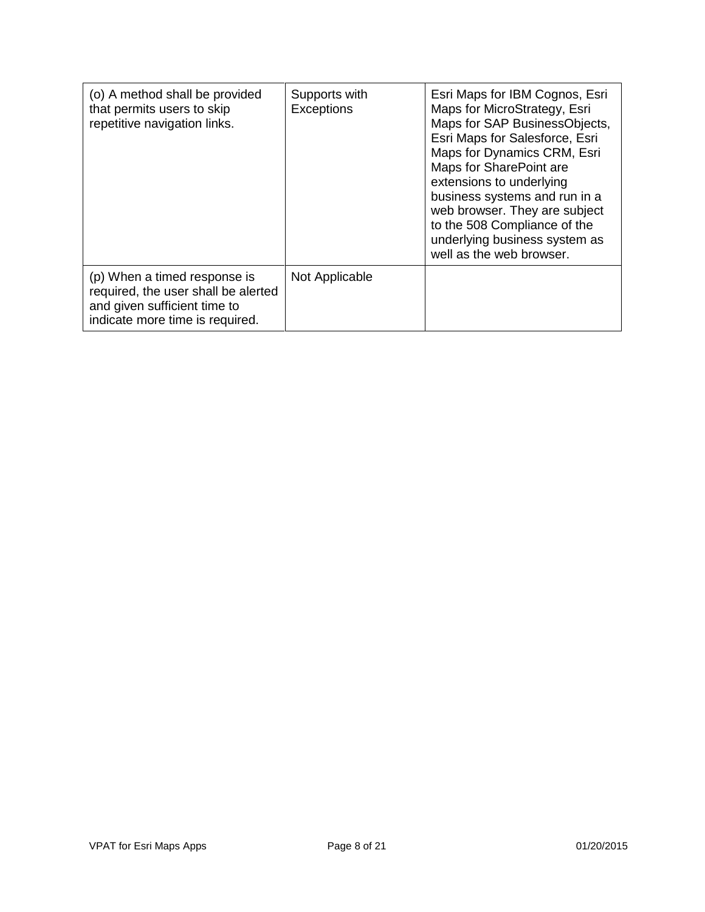| (o) A method shall be provided<br>that permits users to skip<br>repetitive navigation links.                                           | Supports with<br><b>Exceptions</b> | Esri Maps for IBM Cognos, Esri<br>Maps for MicroStrategy, Esri<br>Maps for SAP BusinessObjects,<br>Esri Maps for Salesforce, Esri<br>Maps for Dynamics CRM, Esri<br>Maps for SharePoint are<br>extensions to underlying<br>business systems and run in a<br>web browser. They are subject<br>to the 508 Compliance of the<br>underlying business system as<br>well as the web browser. |
|----------------------------------------------------------------------------------------------------------------------------------------|------------------------------------|----------------------------------------------------------------------------------------------------------------------------------------------------------------------------------------------------------------------------------------------------------------------------------------------------------------------------------------------------------------------------------------|
| (p) When a timed response is<br>required, the user shall be alerted<br>and given sufficient time to<br>indicate more time is required. | Not Applicable                     |                                                                                                                                                                                                                                                                                                                                                                                        |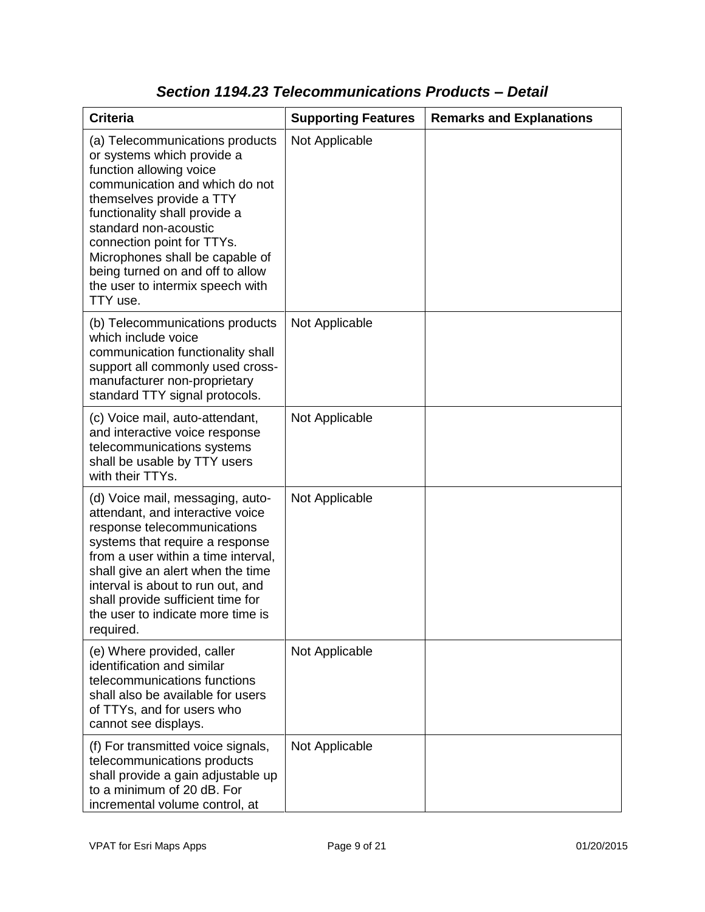| <b>Criteria</b>                                                                                                                                                                                                                                                                                                                                                       | <b>Supporting Features</b> | <b>Remarks and Explanations</b> |
|-----------------------------------------------------------------------------------------------------------------------------------------------------------------------------------------------------------------------------------------------------------------------------------------------------------------------------------------------------------------------|----------------------------|---------------------------------|
| (a) Telecommunications products<br>or systems which provide a<br>function allowing voice<br>communication and which do not<br>themselves provide a TTY<br>functionality shall provide a<br>standard non-acoustic<br>connection point for TTYs.<br>Microphones shall be capable of<br>being turned on and off to allow<br>the user to intermix speech with<br>TTY use. | Not Applicable             |                                 |
| (b) Telecommunications products<br>which include voice<br>communication functionality shall<br>support all commonly used cross-<br>manufacturer non-proprietary<br>standard TTY signal protocols.                                                                                                                                                                     | Not Applicable             |                                 |
| (c) Voice mail, auto-attendant,<br>and interactive voice response<br>telecommunications systems<br>shall be usable by TTY users<br>with their TTYs.                                                                                                                                                                                                                   | Not Applicable             |                                 |
| (d) Voice mail, messaging, auto-<br>attendant, and interactive voice<br>response telecommunications<br>systems that require a response<br>from a user within a time interval,<br>shall give an alert when the time<br>interval is about to run out, and<br>shall provide sufficient time for<br>the user to indicate more time is<br>required.                        | Not Applicable             |                                 |
| (e) Where provided, caller<br>identification and similar<br>telecommunications functions<br>shall also be available for users<br>of TTYs, and for users who<br>cannot see displays.                                                                                                                                                                                   | Not Applicable             |                                 |
| (f) For transmitted voice signals,<br>telecommunications products<br>shall provide a gain adjustable up<br>to a minimum of 20 dB. For<br>incremental volume control, at                                                                                                                                                                                               | Not Applicable             |                                 |

### *Section 1194.23 Telecommunications Products – Detail*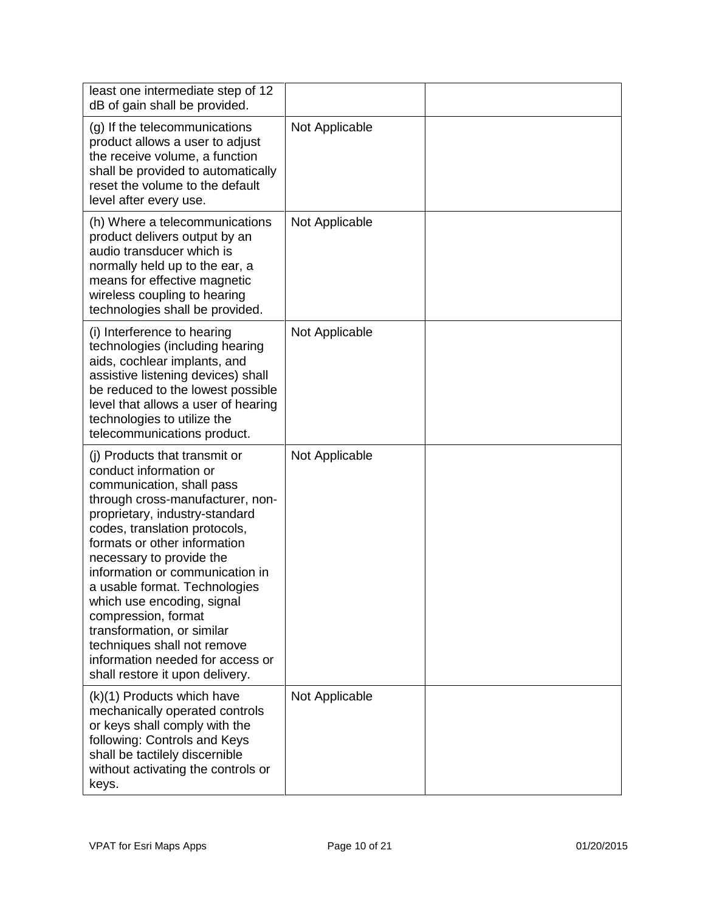| least one intermediate step of 12<br>dB of gain shall be provided.                                                                                                                                                                                                                                                                                                                                                                                                                                                   |                |  |
|----------------------------------------------------------------------------------------------------------------------------------------------------------------------------------------------------------------------------------------------------------------------------------------------------------------------------------------------------------------------------------------------------------------------------------------------------------------------------------------------------------------------|----------------|--|
| (g) If the telecommunications<br>product allows a user to adjust<br>the receive volume, a function<br>shall be provided to automatically<br>reset the volume to the default<br>level after every use.                                                                                                                                                                                                                                                                                                                | Not Applicable |  |
| (h) Where a telecommunications<br>product delivers output by an<br>audio transducer which is<br>normally held up to the ear, a<br>means for effective magnetic<br>wireless coupling to hearing<br>technologies shall be provided.                                                                                                                                                                                                                                                                                    | Not Applicable |  |
| (i) Interference to hearing<br>technologies (including hearing<br>aids, cochlear implants, and<br>assistive listening devices) shall<br>be reduced to the lowest possible<br>level that allows a user of hearing<br>technologies to utilize the<br>telecommunications product.                                                                                                                                                                                                                                       | Not Applicable |  |
| (i) Products that transmit or<br>conduct information or<br>communication, shall pass<br>through cross-manufacturer, non-<br>proprietary, industry-standard<br>codes, translation protocols,<br>formats or other information<br>necessary to provide the<br>information or communication in<br>a usable format. Technologies<br>which use encoding, signal<br>compression, format<br>transformation, or similar<br>techniques shall not remove<br>information needed for access or<br>shall restore it upon delivery. | Not Applicable |  |
| (k)(1) Products which have<br>mechanically operated controls<br>or keys shall comply with the<br>following: Controls and Keys<br>shall be tactilely discernible<br>without activating the controls or<br>keys.                                                                                                                                                                                                                                                                                                       | Not Applicable |  |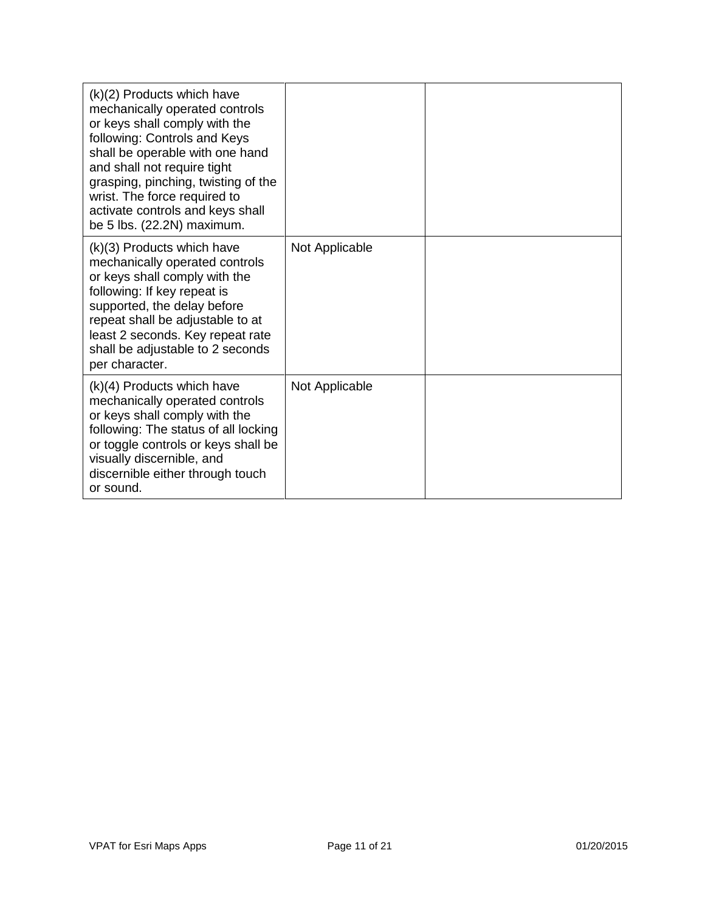| $(k)(2)$ Products which have<br>mechanically operated controls<br>or keys shall comply with the<br>following: Controls and Keys<br>shall be operable with one hand<br>and shall not require tight<br>grasping, pinching, twisting of the<br>wrist. The force required to<br>activate controls and keys shall<br>be 5 lbs. (22.2N) maximum. |                |  |
|--------------------------------------------------------------------------------------------------------------------------------------------------------------------------------------------------------------------------------------------------------------------------------------------------------------------------------------------|----------------|--|
| (k)(3) Products which have<br>mechanically operated controls<br>or keys shall comply with the<br>following: If key repeat is<br>supported, the delay before<br>repeat shall be adjustable to at<br>least 2 seconds. Key repeat rate<br>shall be adjustable to 2 seconds<br>per character.                                                  | Not Applicable |  |
| $(k)(4)$ Products which have<br>mechanically operated controls<br>or keys shall comply with the<br>following: The status of all locking<br>or toggle controls or keys shall be<br>visually discernible, and<br>discernible either through touch<br>or sound.                                                                               | Not Applicable |  |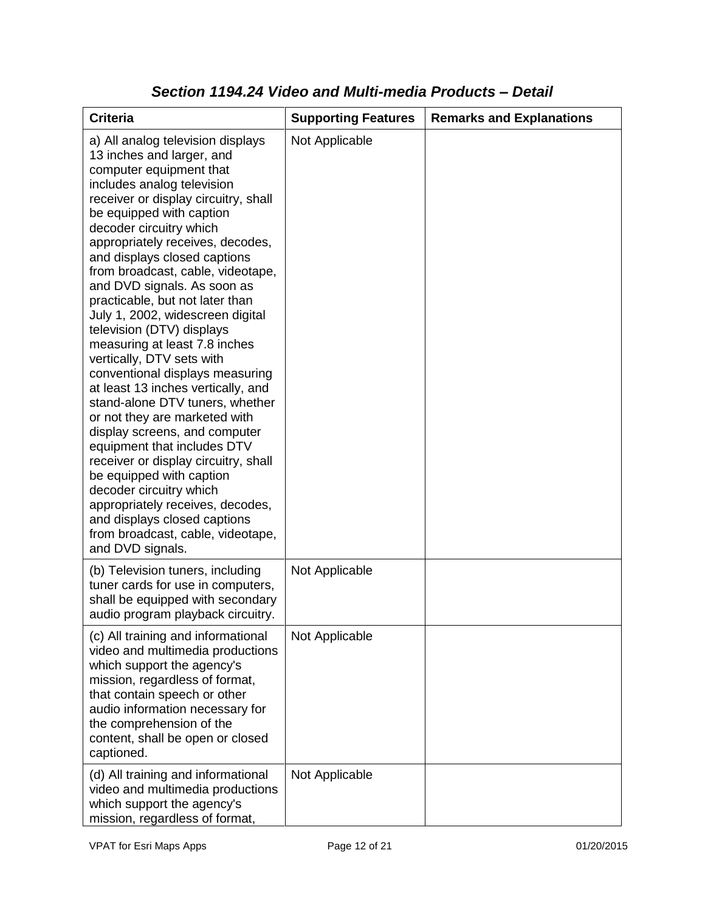| <b>Criteria</b>                                                                                                                                                                                                                                                                                                                                                                                                                                                                                                                                                                                                                                                                                                                                                                                                                                                                                                                                                           | <b>Supporting Features</b> | <b>Remarks and Explanations</b> |
|---------------------------------------------------------------------------------------------------------------------------------------------------------------------------------------------------------------------------------------------------------------------------------------------------------------------------------------------------------------------------------------------------------------------------------------------------------------------------------------------------------------------------------------------------------------------------------------------------------------------------------------------------------------------------------------------------------------------------------------------------------------------------------------------------------------------------------------------------------------------------------------------------------------------------------------------------------------------------|----------------------------|---------------------------------|
| a) All analog television displays<br>13 inches and larger, and<br>computer equipment that<br>includes analog television<br>receiver or display circuitry, shall<br>be equipped with caption<br>decoder circuitry which<br>appropriately receives, decodes,<br>and displays closed captions<br>from broadcast, cable, videotape,<br>and DVD signals. As soon as<br>practicable, but not later than<br>July 1, 2002, widescreen digital<br>television (DTV) displays<br>measuring at least 7.8 inches<br>vertically, DTV sets with<br>conventional displays measuring<br>at least 13 inches vertically, and<br>stand-alone DTV tuners, whether<br>or not they are marketed with<br>display screens, and computer<br>equipment that includes DTV<br>receiver or display circuitry, shall<br>be equipped with caption<br>decoder circuitry which<br>appropriately receives, decodes,<br>and displays closed captions<br>from broadcast, cable, videotape,<br>and DVD signals. | Not Applicable             |                                 |
| (b) Television tuners, including<br>tuner cards for use in computers,<br>shall be equipped with secondary<br>audio program playback circuitry.                                                                                                                                                                                                                                                                                                                                                                                                                                                                                                                                                                                                                                                                                                                                                                                                                            | Not Applicable             |                                 |
| (c) All training and informational<br>video and multimedia productions<br>which support the agency's<br>mission, regardless of format,<br>that contain speech or other<br>audio information necessary for<br>the comprehension of the<br>content, shall be open or closed<br>captioned.                                                                                                                                                                                                                                                                                                                                                                                                                                                                                                                                                                                                                                                                                   | Not Applicable             |                                 |
| (d) All training and informational<br>video and multimedia productions<br>which support the agency's<br>mission, regardless of format,                                                                                                                                                                                                                                                                                                                                                                                                                                                                                                                                                                                                                                                                                                                                                                                                                                    | Not Applicable             |                                 |

### *Section 1194.24 Video and Multi-media Products – Detail*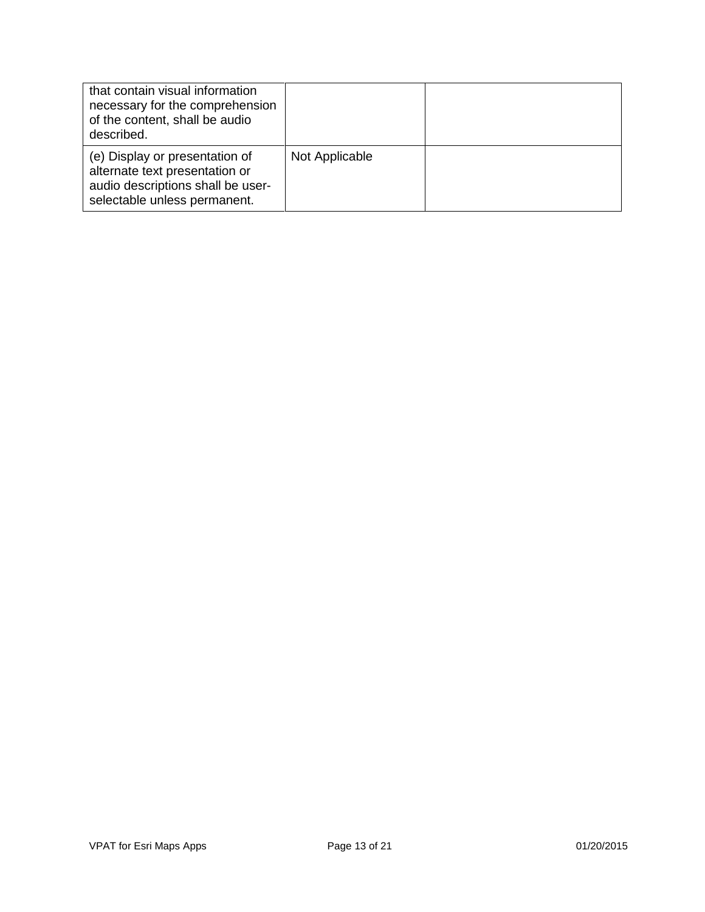| that contain visual information<br>necessary for the comprehension<br>of the content, shall be audio<br>described.                    |                |  |
|---------------------------------------------------------------------------------------------------------------------------------------|----------------|--|
| (e) Display or presentation of<br>alternate text presentation or<br>audio descriptions shall be user-<br>selectable unless permanent. | Not Applicable |  |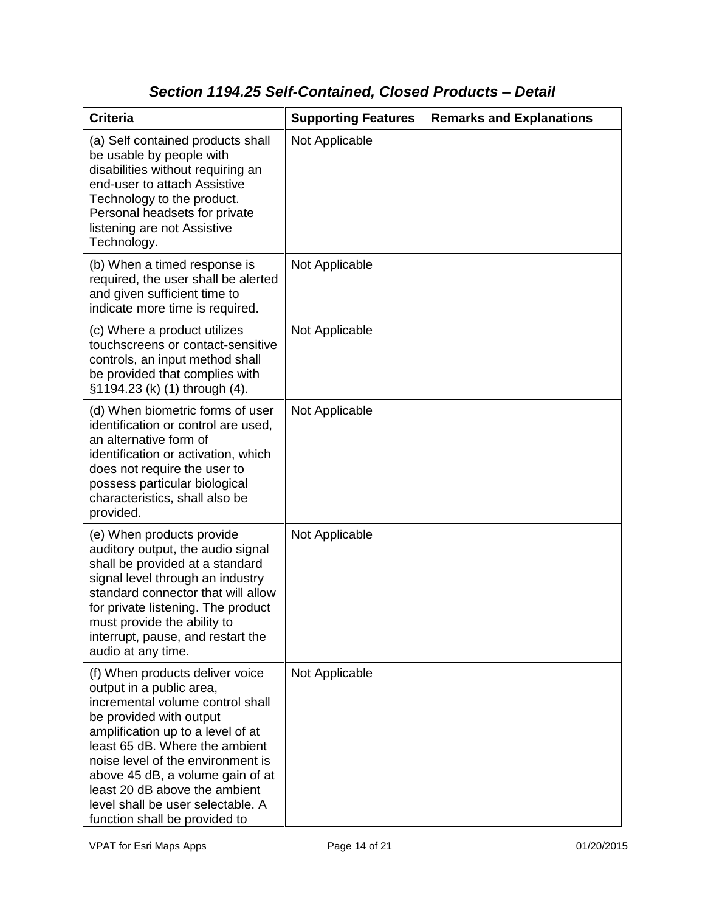# *Section 1194.25 Self-Contained, Closed Products – Detail*

| <b>Criteria</b>                                                                                                                                                                                                                                                                                                                                                                   | <b>Supporting Features</b> | <b>Remarks and Explanations</b> |
|-----------------------------------------------------------------------------------------------------------------------------------------------------------------------------------------------------------------------------------------------------------------------------------------------------------------------------------------------------------------------------------|----------------------------|---------------------------------|
| (a) Self contained products shall<br>be usable by people with<br>disabilities without requiring an<br>end-user to attach Assistive<br>Technology to the product.<br>Personal headsets for private<br>listening are not Assistive<br>Technology.                                                                                                                                   | Not Applicable             |                                 |
| (b) When a timed response is<br>required, the user shall be alerted<br>and given sufficient time to<br>indicate more time is required.                                                                                                                                                                                                                                            | Not Applicable             |                                 |
| (c) Where a product utilizes<br>touchscreens or contact-sensitive<br>controls, an input method shall<br>be provided that complies with<br>§1194.23 (k) (1) through (4).                                                                                                                                                                                                           | Not Applicable             |                                 |
| (d) When biometric forms of user<br>identification or control are used,<br>an alternative form of<br>identification or activation, which<br>does not require the user to<br>possess particular biological<br>characteristics, shall also be<br>provided.                                                                                                                          | Not Applicable             |                                 |
| (e) When products provide<br>auditory output, the audio signal<br>shall be provided at a standard<br>signal level through an industry<br>standard connector that will allow<br>for private listening. The product<br>must provide the ability to<br>interrupt, pause, and restart the<br>audio at any time.                                                                       | Not Applicable             |                                 |
| (f) When products deliver voice<br>output in a public area,<br>incremental volume control shall<br>be provided with output<br>amplification up to a level of at<br>least 65 dB. Where the ambient<br>noise level of the environment is<br>above 45 dB, a volume gain of at<br>least 20 dB above the ambient<br>level shall be user selectable. A<br>function shall be provided to | Not Applicable             |                                 |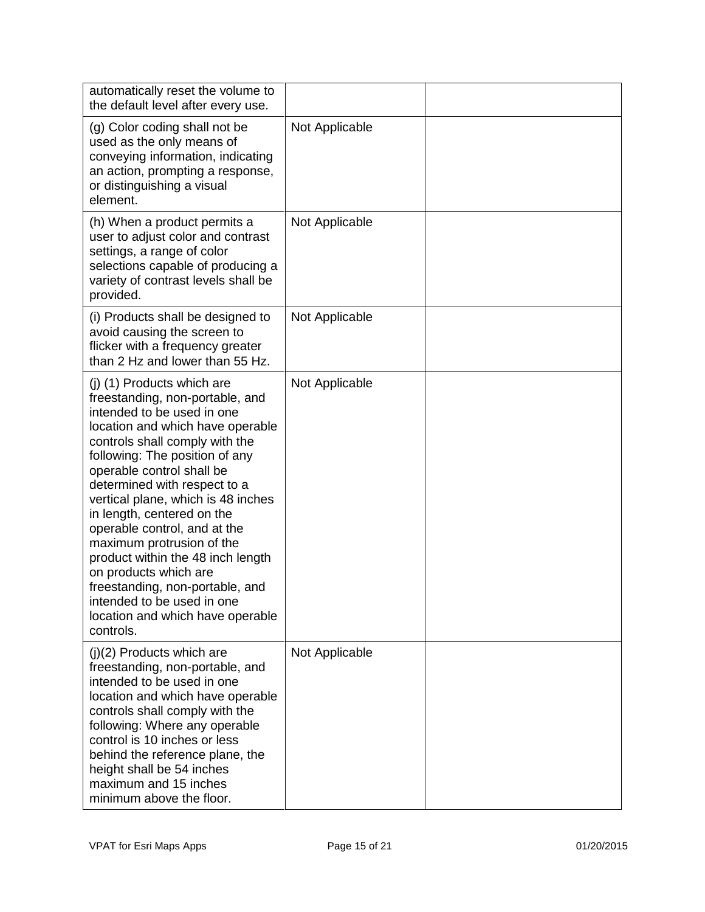| automatically reset the volume to<br>the default level after every use.                                                                                                                                                                                                                                                                                                                                                                                                                                                                                                           |                |  |
|-----------------------------------------------------------------------------------------------------------------------------------------------------------------------------------------------------------------------------------------------------------------------------------------------------------------------------------------------------------------------------------------------------------------------------------------------------------------------------------------------------------------------------------------------------------------------------------|----------------|--|
| (g) Color coding shall not be<br>used as the only means of<br>conveying information, indicating<br>an action, prompting a response,<br>or distinguishing a visual<br>element.                                                                                                                                                                                                                                                                                                                                                                                                     | Not Applicable |  |
| (h) When a product permits a<br>user to adjust color and contrast<br>settings, a range of color<br>selections capable of producing a<br>variety of contrast levels shall be<br>provided.                                                                                                                                                                                                                                                                                                                                                                                          | Not Applicable |  |
| (i) Products shall be designed to<br>avoid causing the screen to<br>flicker with a frequency greater<br>than 2 Hz and lower than 55 Hz.                                                                                                                                                                                                                                                                                                                                                                                                                                           | Not Applicable |  |
| (j) (1) Products which are<br>freestanding, non-portable, and<br>intended to be used in one<br>location and which have operable<br>controls shall comply with the<br>following: The position of any<br>operable control shall be<br>determined with respect to a<br>vertical plane, which is 48 inches<br>in length, centered on the<br>operable control, and at the<br>maximum protrusion of the<br>product within the 48 inch length<br>on products which are<br>freestanding, non-portable, and<br>intended to be used in one<br>location and which have operable<br>controls. | Not Applicable |  |
| $(j)(2)$ Products which are<br>freestanding, non-portable, and<br>intended to be used in one<br>location and which have operable<br>controls shall comply with the<br>following: Where any operable<br>control is 10 inches or less<br>behind the reference plane, the<br>height shall be 54 inches<br>maximum and 15 inches<br>minimum above the floor.                                                                                                                                                                                                                          | Not Applicable |  |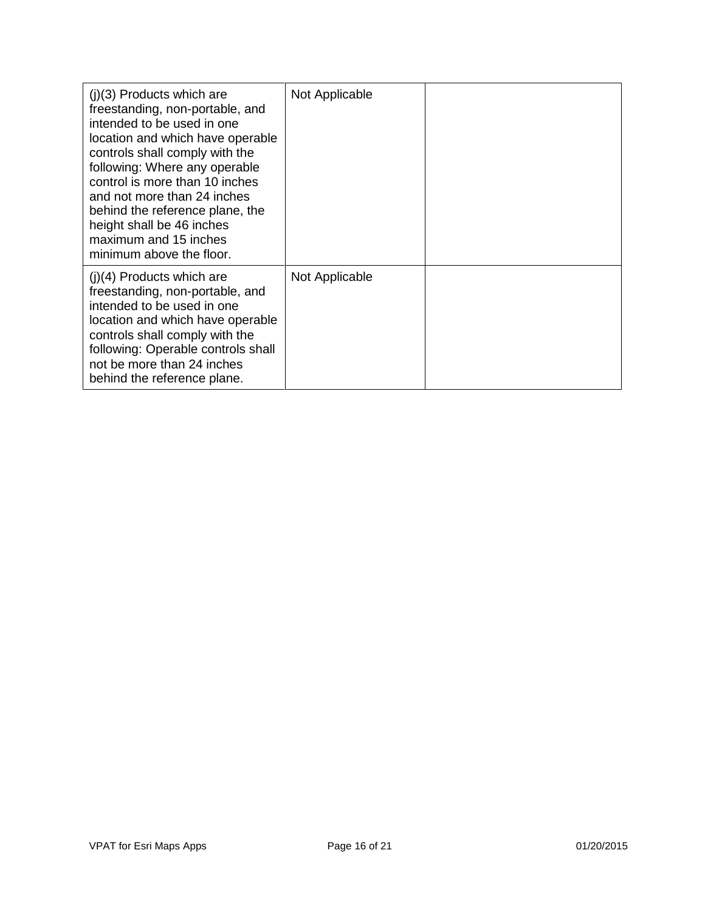| $(i)(3)$ Products which are<br>freestanding, non-portable, and<br>intended to be used in one<br>location and which have operable<br>controls shall comply with the<br>following: Where any operable<br>control is more than 10 inches<br>and not more than 24 inches<br>behind the reference plane, the<br>height shall be 46 inches<br>maximum and 15 inches<br>minimum above the floor. | Not Applicable |  |
|-------------------------------------------------------------------------------------------------------------------------------------------------------------------------------------------------------------------------------------------------------------------------------------------------------------------------------------------------------------------------------------------|----------------|--|
| $(i)(4)$ Products which are<br>freestanding, non-portable, and<br>intended to be used in one<br>location and which have operable<br>controls shall comply with the<br>following: Operable controls shall<br>not be more than 24 inches<br>behind the reference plane.                                                                                                                     | Not Applicable |  |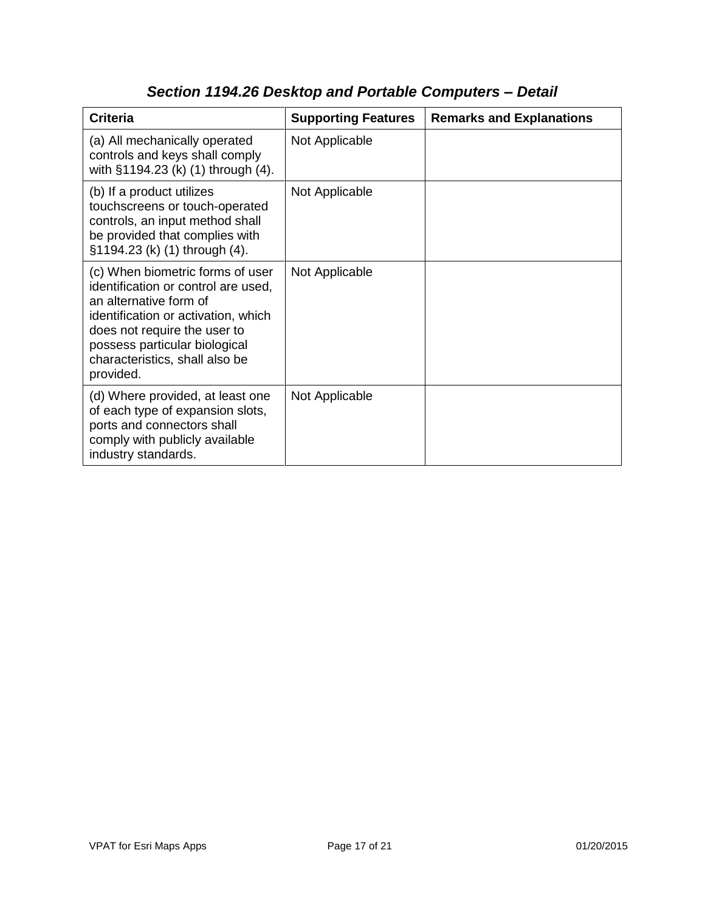| <b>Criteria</b>                                                                                                                                                                                                                                          | <b>Supporting Features</b> | <b>Remarks and Explanations</b> |
|----------------------------------------------------------------------------------------------------------------------------------------------------------------------------------------------------------------------------------------------------------|----------------------------|---------------------------------|
| (a) All mechanically operated<br>controls and keys shall comply<br>with §1194.23 (k) (1) through (4).                                                                                                                                                    | Not Applicable             |                                 |
| (b) If a product utilizes<br>touchscreens or touch-operated<br>controls, an input method shall<br>be provided that complies with<br>§1194.23 (k) (1) through (4).                                                                                        | Not Applicable             |                                 |
| (c) When biometric forms of user<br>identification or control are used,<br>an alternative form of<br>identification or activation, which<br>does not require the user to<br>possess particular biological<br>characteristics, shall also be<br>provided. | Not Applicable             |                                 |
| (d) Where provided, at least one<br>of each type of expansion slots,<br>ports and connectors shall<br>comply with publicly available<br>industry standards.                                                                                              | Not Applicable             |                                 |

## *Section 1194.26 Desktop and Portable Computers – Detail*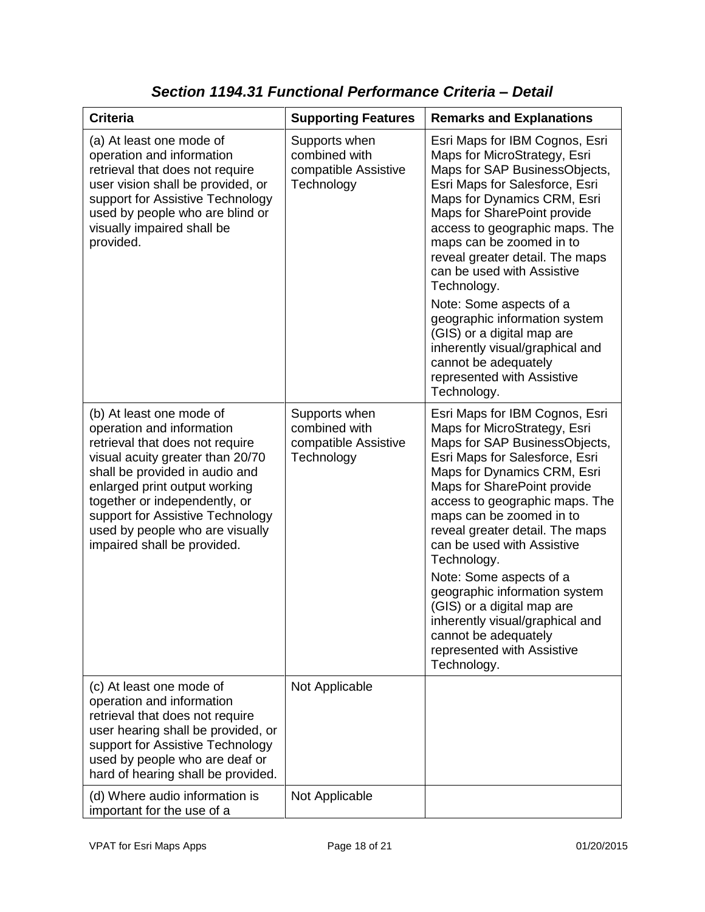| <b>Criteria</b>                                                                                                                                                                                                                                                                                                                        | <b>Supporting Features</b>                                           | <b>Remarks and Explanations</b>                                                                                                                                                                                                                                                                                                                                                                                                         |
|----------------------------------------------------------------------------------------------------------------------------------------------------------------------------------------------------------------------------------------------------------------------------------------------------------------------------------------|----------------------------------------------------------------------|-----------------------------------------------------------------------------------------------------------------------------------------------------------------------------------------------------------------------------------------------------------------------------------------------------------------------------------------------------------------------------------------------------------------------------------------|
| (a) At least one mode of<br>operation and information<br>retrieval that does not require<br>user vision shall be provided, or<br>support for Assistive Technology<br>used by people who are blind or<br>visually impaired shall be<br>provided.                                                                                        | Supports when<br>combined with<br>compatible Assistive<br>Technology | Esri Maps for IBM Cognos, Esri<br>Maps for MicroStrategy, Esri<br>Maps for SAP BusinessObjects,<br>Esri Maps for Salesforce, Esri<br>Maps for Dynamics CRM, Esri<br>Maps for SharePoint provide<br>access to geographic maps. The<br>maps can be zoomed in to<br>reveal greater detail. The maps<br>can be used with Assistive<br>Technology.<br>Note: Some aspects of a                                                                |
|                                                                                                                                                                                                                                                                                                                                        |                                                                      | geographic information system<br>(GIS) or a digital map are<br>inherently visual/graphical and<br>cannot be adequately<br>represented with Assistive<br>Technology.                                                                                                                                                                                                                                                                     |
| (b) At least one mode of<br>operation and information<br>retrieval that does not require<br>visual acuity greater than 20/70<br>shall be provided in audio and<br>enlarged print output working<br>together or independently, or<br>support for Assistive Technology<br>used by people who are visually<br>impaired shall be provided. | Supports when<br>combined with<br>compatible Assistive<br>Technology | Esri Maps for IBM Cognos, Esri<br>Maps for MicroStrategy, Esri<br>Maps for SAP BusinessObjects,<br>Esri Maps for Salesforce, Esri<br>Maps for Dynamics CRM, Esri<br>Maps for SharePoint provide<br>access to geographic maps. The<br>maps can be zoomed in to<br>reveal greater detail. The maps<br>can be used with Assistive<br>Technology.<br>Note: Some aspects of a<br>geographic information system<br>(GIS) or a digital map are |
|                                                                                                                                                                                                                                                                                                                                        |                                                                      | inherently visual/graphical and<br>cannot be adequately<br>represented with Assistive<br>Technology.                                                                                                                                                                                                                                                                                                                                    |
| (c) At least one mode of<br>operation and information<br>retrieval that does not require<br>user hearing shall be provided, or<br>support for Assistive Technology<br>used by people who are deaf or<br>hard of hearing shall be provided.                                                                                             | Not Applicable                                                       |                                                                                                                                                                                                                                                                                                                                                                                                                                         |
| (d) Where audio information is<br>important for the use of a                                                                                                                                                                                                                                                                           | Not Applicable                                                       |                                                                                                                                                                                                                                                                                                                                                                                                                                         |

*Section 1194.31 Functional Performance Criteria – Detail*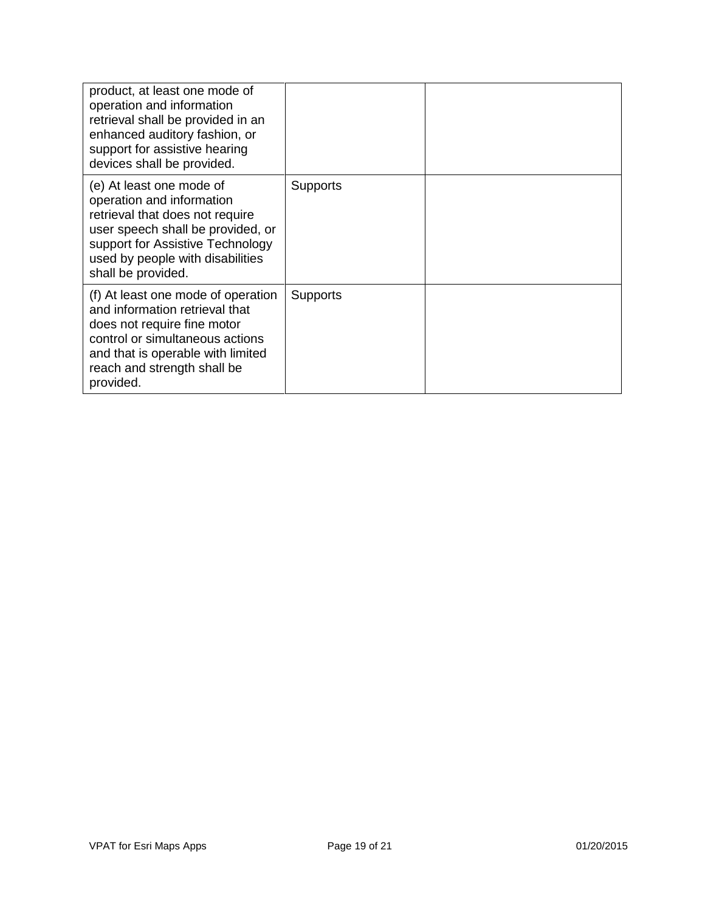| product, at least one mode of<br>operation and information<br>retrieval shall be provided in an<br>enhanced auditory fashion, or<br>support for assistive hearing<br>devices shall be provided.                             |                 |  |
|-----------------------------------------------------------------------------------------------------------------------------------------------------------------------------------------------------------------------------|-----------------|--|
| (e) At least one mode of<br>operation and information<br>retrieval that does not require<br>user speech shall be provided, or<br>support for Assistive Technology<br>used by people with disabilities<br>shall be provided. | <b>Supports</b> |  |
| (f) At least one mode of operation<br>and information retrieval that<br>does not require fine motor<br>control or simultaneous actions<br>and that is operable with limited<br>reach and strength shall be<br>provided.     | <b>Supports</b> |  |